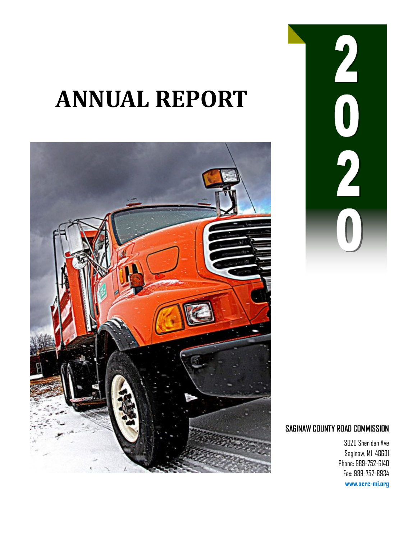# **ANNUAL REPORT**





### **SAGINAW COUNTY ROAD COMMISSION**

3020 Sheridan Ave Saginaw, MI 48601 Phone: 989-752-6140 Fax: 989-752-8934 **www.scrc-mi.org**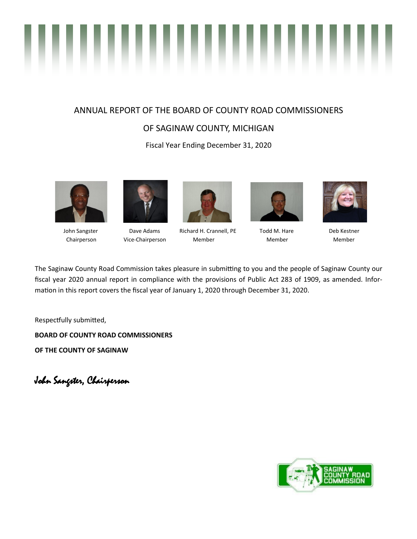# ,,,,,,,, ..

### ANNUAL REPORT OF THE BOARD OF COUNTY ROAD COMMISSIONERS

### OF SAGINAW COUNTY, MICHIGAN

Fiscal Year Ending December 31, 2020







 John Sangster Dave Adams Richard H. Crannell, PE Todd M. Hare Deb Kestner Chairperson Vice-Chairperson Member Member Member





The Saginaw County Road Commission takes pleasure in submitting to you and the people of Saginaw County our fiscal year 2020 annual report in compliance with the provisions of Public Act 283 of 1909, as amended. Information in this report covers the fiscal year of January 1, 2020 through December 31, 2020.

Respectfully submitted,

**BOARD OF COUNTY ROAD COMMISSIONERS**

**OF THE COUNTY OF SAGINAW**

John Sangster, Chairperson

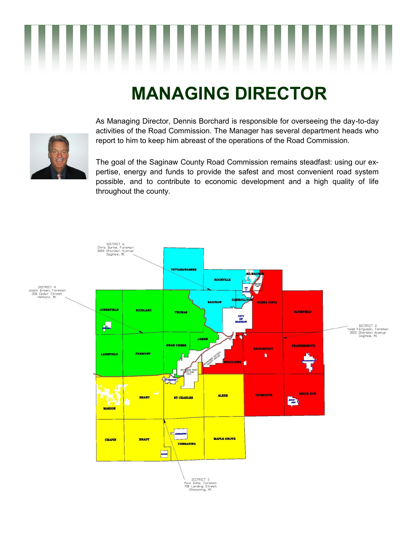## **MANAGING DIRECTOR**



As Managing Director, Dennis Borchard is responsible for overseeing the day-to-day activities of the Road Commission. The Manager has several department heads who report to him to keep him abreast of the operations of the Road Commission.

The goal of the Saginaw County Road Commission remains steadfast: using our expertise, energy and funds to provide the safest and most convenient road system possible, and to contribute to economic development and a high quality of life throughout the county.

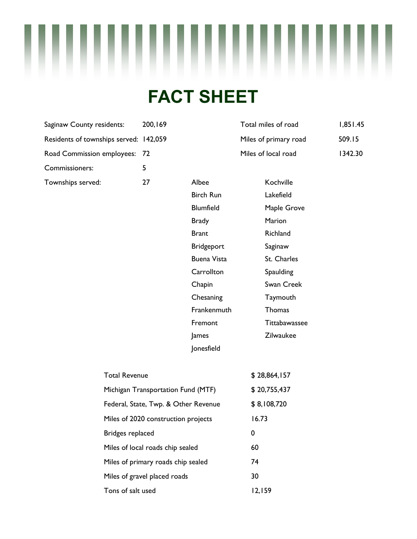# **FACT SHEET**

| Saginaw County residents:              | 200,169 |       | Total miles of roa |
|----------------------------------------|---------|-------|--------------------|
| Residents of townships served: 142,059 |         |       | Miles of primary   |
| Road Commission employees: 72          |         |       | Miles of local roa |
| Commissioners:                         |         |       |                    |
| Townships served:                      | 77      | Albee | Kochville          |

| Saginaw County residents:              | 200,169 | Total miles of road   | 1,851.45 |
|----------------------------------------|---------|-----------------------|----------|
| Residents of townships served: 142,059 |         | Miles of primary road | 509.15   |
| Road Commission employees: 72          |         | Miles of local road   | 1342.30  |

| Albee            | Kochville     |
|------------------|---------------|
| <b>Birch Run</b> | Lakefield     |
| Blumfield        | Maple Grove   |
| <b>Brady</b>     | Marion        |
| Brant            | Richland      |
| Bridgeport       | Saginaw       |
| Buena Vista      | St. Charles   |
| Carrollton       | Spaulding     |
| Chapin           | Swan Creek    |
| Chesaning        | Taymouth      |
| Frankenmuth      | Thomas        |
| Fremont          | Tittabawassee |
| James            | Zilwaukee     |
| Jonesfield       |               |

| <b>Total Revenue</b>                 | \$28,864,157 |
|--------------------------------------|--------------|
| Michigan Transportation Fund (MTF)   | \$20,755,437 |
| Federal, State, Twp. & Other Revenue | \$8,108,720  |
| Miles of 2020 construction projects  | 16.73        |
| Bridges replaced                     | 0            |
| Miles of local roads chip sealed     | 60           |
| Miles of primary roads chip sealed   | 74           |
| Miles of gravel placed roads         | 30           |
| Tons of salt used                    | 12.159       |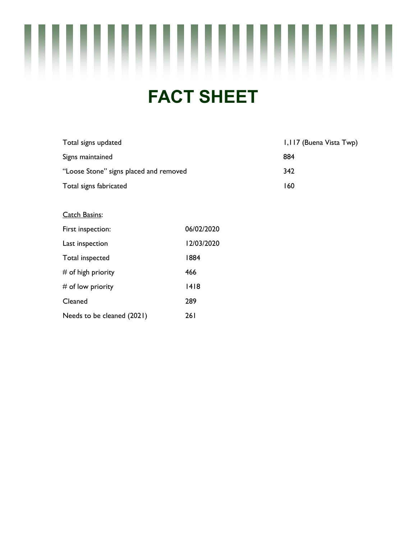

### **FACT SHEET**

| Total signs updated                    | 1,117 (Buena Vista Twp) |
|----------------------------------------|-------------------------|
| Signs maintained                       | 884                     |
| "Loose Stone" signs placed and removed | 342                     |
| Total signs fabricated                 | 160                     |

#### Catch Basins:

| First inspection:          | 06/02/2020 |
|----------------------------|------------|
| Last inspection            | 12/03/2020 |
| Total inspected            | 1884       |
| $#$ of high priority       | 466        |
| $#$ of low priority        | 1418       |
| Cleaned                    | 289        |
| Needs to be cleaned (2021) | 26 I       |
|                            |            |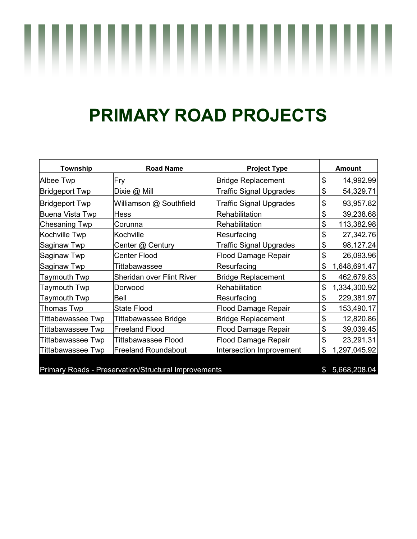# **PRIMARY ROAD PROJECTS**

| Township                                             | <b>Road Name</b>           | <b>Project Type</b>            |               | Amount       |
|------------------------------------------------------|----------------------------|--------------------------------|---------------|--------------|
| Albee Twp                                            | Fry                        | <b>Bridge Replacement</b>      | \$            | 14,992.99    |
| <b>Bridgeport Twp</b>                                | Dixie @ Mill               | <b>Traffic Signal Upgrades</b> | \$            | 54,329.71    |
| Bridgeport Twp                                       | Williamson @ Southfield    | <b>Traffic Signal Upgrades</b> | \$            | 93,957.82    |
| Buena Vista Twp                                      | Hess                       | Rehabilitation                 | \$            | 39,238.68    |
| <b>Chesaning Twp</b>                                 | Corunna                    | Rehabilitation                 | \$            | 113,382.98   |
| Kochville Twp                                        | Kochville                  | Resurfacing                    | \$            | 27,342.76    |
| Saginaw Twp                                          | Center @ Century           | <b>Traffic Signal Upgrades</b> | \$            | 98,127.24    |
| Saginaw Twp                                          | <b>Center Flood</b>        | <b>Flood Damage Repair</b>     | \$            | 26,093.96    |
| Saginaw Twp                                          | Tittabawassee              | Resurfacing                    | \$            | 1,648,691.47 |
| Taymouth Twp                                         | Sheridan over Flint River  | <b>Bridge Replacement</b>      | \$            | 462,679.83   |
| Taymouth Twp                                         | Dorwood                    | Rehabilitation                 | \$            | 1,334,300.92 |
| Taymouth Twp                                         | Bell                       | Resurfacing                    | \$            | 229,381.97   |
| Thomas Twp                                           | <b>State Flood</b>         | Flood Damage Repair            | \$            | 153,490.17   |
| Tittabawassee Twp                                    | Tittabawassee Bridge       | Bridge Replacement             | \$            | 12,820.86    |
| Tittabawassee Twp                                    | <b>Freeland Flood</b>      | <b>Flood Damage Repair</b>     | \$            | 39,039.45    |
| Tittabawassee Twp                                    | Tittabawassee Flood        | <b>Flood Damage Repair</b>     | \$            | 23,291.31    |
| Tittabawassee Twp                                    | <b>Freeland Roundabout</b> | Intersection Improvement       | \$            | 1,297,045.92 |
| Primary Roads - Preservation/Structural Improvements |                            |                                | $\mathfrak s$ | 5,668,208.04 |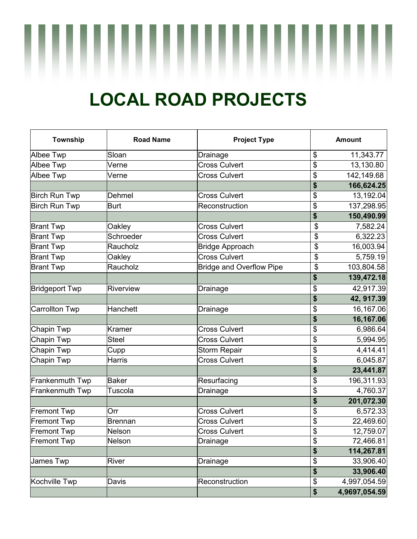## **LOCAL ROAD PROJECTS**

| Township              | <b>Road Name</b> | <b>Project Type</b>             |                          | <b>Amount</b> |
|-----------------------|------------------|---------------------------------|--------------------------|---------------|
| Albee Twp             | Sloan            | Drainage                        | \$                       | 11,343.77     |
| Albee Twp             | Verne            | <b>Cross Culvert</b>            | \$                       | 13,130.80     |
| Albee Twp             | Verne            | <b>Cross Culvert</b>            | \$                       | 142,149.68    |
|                       |                  |                                 | \$                       | 166,624.25    |
| Birch Run Twp         | Dehmel           | <b>Cross Culvert</b>            | \$                       | 13,192.04     |
| Birch Run Twp         | <b>Burt</b>      | Reconstruction                  | \$                       | 137,298.95    |
|                       |                  |                                 | \$                       | 150,490.99    |
| <b>Brant Twp</b>      | Oakley           | <b>Cross Culvert</b>            | \$                       | 7,582.24      |
| <b>Brant Twp</b>      | Schroeder        | <b>Cross Culvert</b>            | \$                       | 6,322.23      |
| <b>Brant Twp</b>      | Raucholz         | <b>Bridge Approach</b>          | \$                       | 16,003.94     |
| <b>Brant Twp</b>      | Oakley           | <b>Cross Culvert</b>            | \$                       | 5,759.19      |
| <b>Brant Twp</b>      | Raucholz         | <b>Bridge and Overflow Pipe</b> | \$                       | 103,804.58    |
|                       |                  |                                 | \$                       | 139,472.18    |
| <b>Bridgeport Twp</b> | Riverview        | Drainage                        | \$                       | 42,917.39     |
|                       |                  |                                 | \$                       | 42, 917.39    |
| <b>Carrollton Twp</b> | Hanchett         | Drainage                        | \$                       | 16,167.06     |
|                       |                  |                                 | \$                       | 16,167.06     |
| Chapin Twp            | <b>Kramer</b>    | <b>Cross Culvert</b>            | \$                       | 6,986.64      |
| Chapin Twp            | <b>Steel</b>     | <b>Cross Culvert</b>            | $\frac{1}{2}$            | 5,994.95      |
| Chapin Twp            | Cupp             | <b>Storm Repair</b>             | \$                       | 4,414.41      |
| Chapin Twp            | Harris           | <b>Cross Culvert</b>            | \$                       | 6,045.87      |
|                       |                  |                                 | \$                       | 23,441.87     |
| Frankenmuth Twp       | <b>Baker</b>     | Resurfacing                     | \$                       | 196,311.93    |
| Frankenmuth Twp       | Tuscola          | Drainage                        | \$                       | 4,760.37      |
|                       |                  |                                 | $\boldsymbol{\$}$        | 201,072.30    |
| <b>Fremont Twp</b>    | Orr              | <b>Cross Culvert</b>            | \$                       | 6,572.33      |
| <b>Fremont Twp</b>    | <b>Brennan</b>   | <b>Cross Culvert</b>            | \$                       | 22,469.60     |
| <b>Fremont Twp</b>    | Nelson           | <b>Cross Culvert</b>            | $\overline{\mathcal{G}}$ | 12,759.07     |
| <b>Fremont Twp</b>    | Nelson           | Drainage                        | \$                       | 72,466.81     |
|                       |                  |                                 | \$                       | 114,267.81    |
| James Twp             | River            | Drainage                        | \$                       | 33,906.40     |
|                       |                  |                                 | \$                       | 33,906.40     |
| Kochville Twp         | Davis            | Reconstruction                  | \$                       | 4,997,054.59  |
|                       |                  |                                 | \$                       | 4,9697,054.59 |